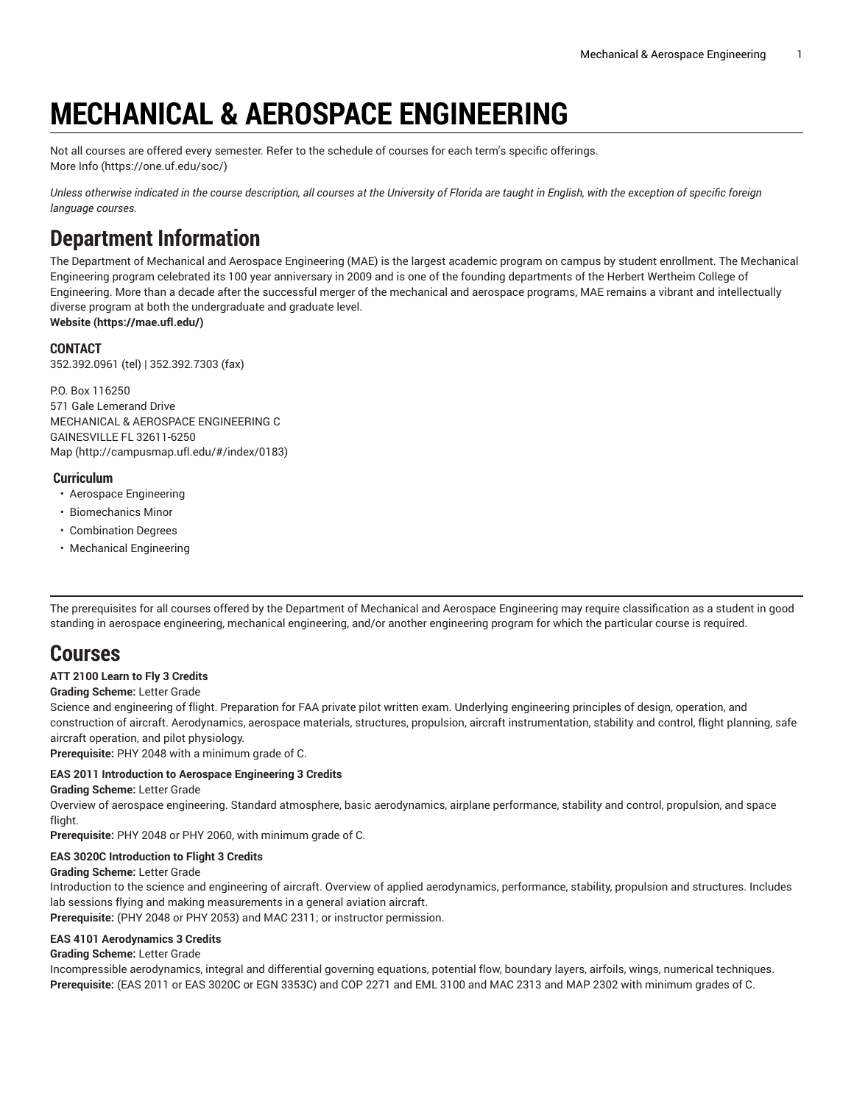# **MECHANICAL & AEROSPACE ENGINEERING**

Not all courses are offered every semester. Refer to the schedule of courses for each term's specific offerings. [More](https://one.uf.edu/soc/) Info [\(https://one.uf.edu/soc/](https://one.uf.edu/soc/))

Unless otherwise indicated in the course description, all courses at the University of Florida are taught in English, with the exception of specific foreign *language courses.*

## **Department Information**

The Department of Mechanical and Aerospace Engineering (MAE) is the largest academic program on campus by student enrollment. The Mechanical Engineering program celebrated its 100 year anniversary in 2009 and is one of the founding departments of the Herbert Wertheim College of Engineering. More than a decade after the successful merger of the mechanical and aerospace programs, MAE remains a vibrant and intellectually diverse program at both the undergraduate and graduate level. **[Website](https://mae.ufl.edu/) (<https://mae.ufl.edu/>)**

## **CONTACT**

352.392.0961 (tel) | 352.392.7303 (fax)

P.O. Box 116250 571 Gale Lemerand Drive MECHANICAL & AEROSPACE ENGINEERING C GAINESVILLE FL 32611-6250 [Map](http://campusmap.ufl.edu/#/index/0183) ([http://campusmap.ufl.edu/#/index/0183\)](http://campusmap.ufl.edu/#/index/0183)

## **Curriculum**

- Aerospace Engineering
- Biomechanics Minor
- Combination Degrees
- Mechanical Engineering

The prerequisites for all courses offered by the Department of Mechanical and Aerospace Engineering may require classification as a student in good standing in aerospace engineering, mechanical engineering, and/or another engineering program for which the particular course is required.

## **Courses**

## **ATT 2100 Learn to Fly 3 Credits**

#### **Grading Scheme:** Letter Grade

Science and engineering of flight. Preparation for FAA private pilot written exam. Underlying engineering principles of design, operation, and construction of aircraft. Aerodynamics, aerospace materials, structures, propulsion, aircraft instrumentation, stability and control, flight planning, safe aircraft operation, and pilot physiology.

**Prerequisite:** PHY 2048 with a minimum grade of C.

#### **EAS 2011 Introduction to Aerospace Engineering 3 Credits**

**Grading Scheme:** Letter Grade

Overview of aerospace engineering. Standard atmosphere, basic aerodynamics, airplane performance, stability and control, propulsion, and space flight.

**Prerequisite:** PHY 2048 or PHY 2060, with minimum grade of C.

#### **EAS 3020C Introduction to Flight 3 Credits**

#### **Grading Scheme:** Letter Grade

Introduction to the science and engineering of aircraft. Overview of applied aerodynamics, performance, stability, propulsion and structures. Includes lab sessions flying and making measurements in a general aviation aircraft.

**Prerequisite:** (PHY 2048 or PHY 2053) and MAC 2311; or instructor permission.

#### **EAS 4101 Aerodynamics 3 Credits**

#### **Grading Scheme:** Letter Grade

Incompressible aerodynamics, integral and differential governing equations, potential flow, boundary layers, airfoils, wings, numerical techniques. **Prerequisite:** (EAS 2011 or EAS 3020C or EGN 3353C) and COP 2271 and EML 3100 and MAC 2313 and MAP 2302 with minimum grades of C.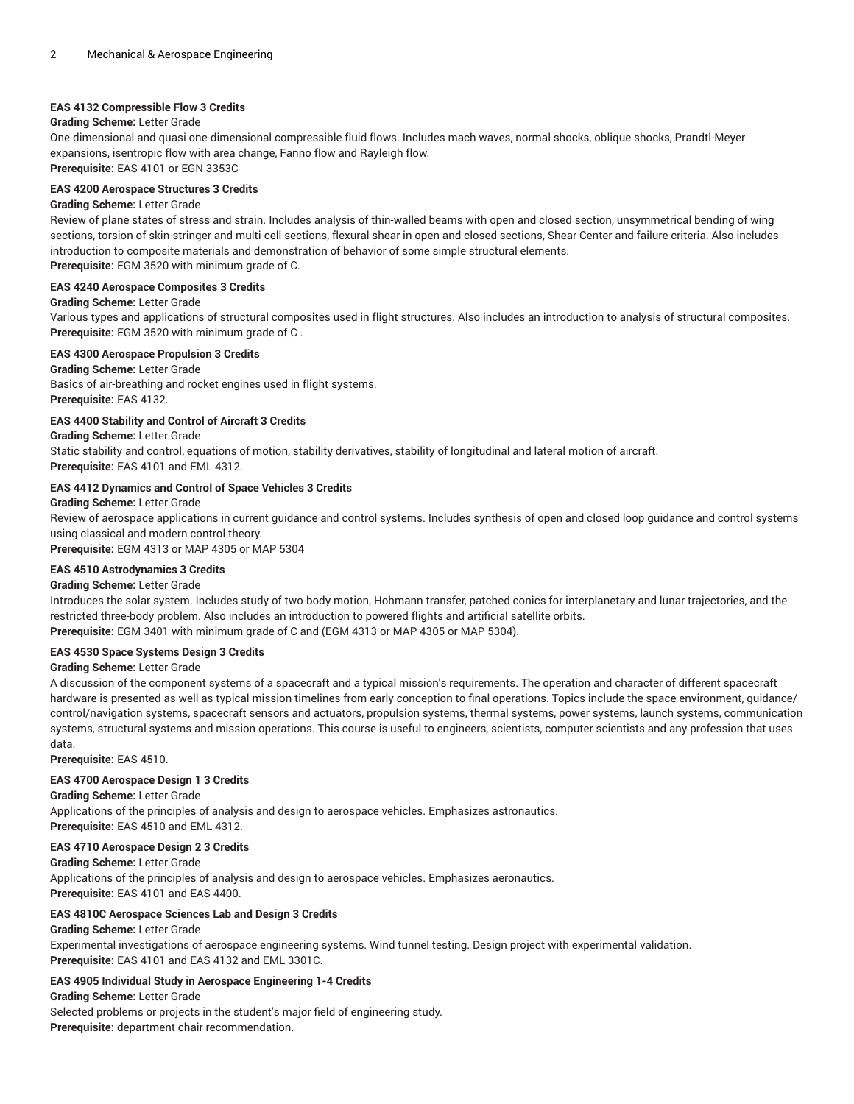## **EAS 4132 Compressible Flow 3 Credits**

#### **Grading Scheme:** Letter Grade

One-dimensional and quasi one-dimensional compressible fluid flows. Includes mach waves, normal shocks, oblique shocks, Prandtl-Meyer expansions, isentropic flow with area change, Fanno flow and Rayleigh flow. **Prerequisite:** EAS 4101 or EGN 3353C

## **EAS 4200 Aerospace Structures 3 Credits**

#### **Grading Scheme:** Letter Grade

Review of plane states of stress and strain. Includes analysis of thin-walled beams with open and closed section, unsymmetrical bending of wing sections, torsion of skin-stringer and multi-cell sections, flexural shear in open and closed sections, Shear Center and failure criteria. Also includes introduction to composite materials and demonstration of behavior of some simple structural elements.

**Prerequisite:** EGM 3520 with minimum grade of C.

#### **EAS 4240 Aerospace Composites 3 Credits**

#### **Grading Scheme:** Letter Grade

Various types and applications of structural composites used in flight structures. Also includes an introduction to analysis of structural composites. **Prerequisite:** EGM 3520 with minimum grade of C .

#### **EAS 4300 Aerospace Propulsion 3 Credits**

## **Grading Scheme:** Letter Grade

Basics of air-breathing and rocket engines used in flight systems. **Prerequisite:** EAS 4132.

#### **EAS 4400 Stability and Control of Aircraft 3 Credits**

#### **Grading Scheme:** Letter Grade

Static stability and control, equations of motion, stability derivatives, stability of longitudinal and lateral motion of aircraft. **Prerequisite:** EAS 4101 and EML 4312.

## **EAS 4412 Dynamics and Control of Space Vehicles 3 Credits**

#### **Grading Scheme:** Letter Grade

Review of aerospace applications in current guidance and control systems. Includes synthesis of open and closed loop guidance and control systems using classical and modern control theory.

**Prerequisite:** EGM 4313 or MAP 4305 or MAP 5304

#### **EAS 4510 Astrodynamics 3 Credits**

#### **Grading Scheme:** Letter Grade

Introduces the solar system. Includes study of two-body motion, Hohmann transfer, patched conics for interplanetary and lunar trajectories, and the restricted three-body problem. Also includes an introduction to powered flights and artificial satellite orbits. **Prerequisite:** EGM 3401 with minimum grade of C and (EGM 4313 or MAP 4305 or MAP 5304).

#### **EAS 4530 Space Systems Design 3 Credits**

#### **Grading Scheme:** Letter Grade

A discussion of the component systems of a spacecraft and a typical mission's requirements. The operation and character of different spacecraft hardware is presented as well as typical mission timelines from early conception to final operations. Topics include the space environment, guidance/ control/navigation systems, spacecraft sensors and actuators, propulsion systems, thermal systems, power systems, launch systems, communication systems, structural systems and mission operations. This course is useful to engineers, scientists, computer scientists and any profession that uses data.

**Prerequisite:** EAS 4510.

#### **EAS 4700 Aerospace Design 1 3 Credits**

#### **Grading Scheme:** Letter Grade

Applications of the principles of analysis and design to aerospace vehicles. Emphasizes astronautics. **Prerequisite:** EAS 4510 and EML 4312.

#### **EAS 4710 Aerospace Design 2 3 Credits**

## **Grading Scheme:** Letter Grade

Applications of the principles of analysis and design to aerospace vehicles. Emphasizes aeronautics. **Prerequisite:** EAS 4101 and EAS 4400.

#### **EAS 4810C Aerospace Sciences Lab and Design 3 Credits**

#### **Grading Scheme:** Letter Grade

Experimental investigations of aerospace engineering systems. Wind tunnel testing. Design project with experimental validation. **Prerequisite:** EAS 4101 and EAS 4132 and EML 3301C.

#### **EAS 4905 Individual Study in Aerospace Engineering 1-4 Credits**

**Grading Scheme:** Letter Grade

Selected problems or projects in the student's major field of engineering study. **Prerequisite:** department chair recommendation.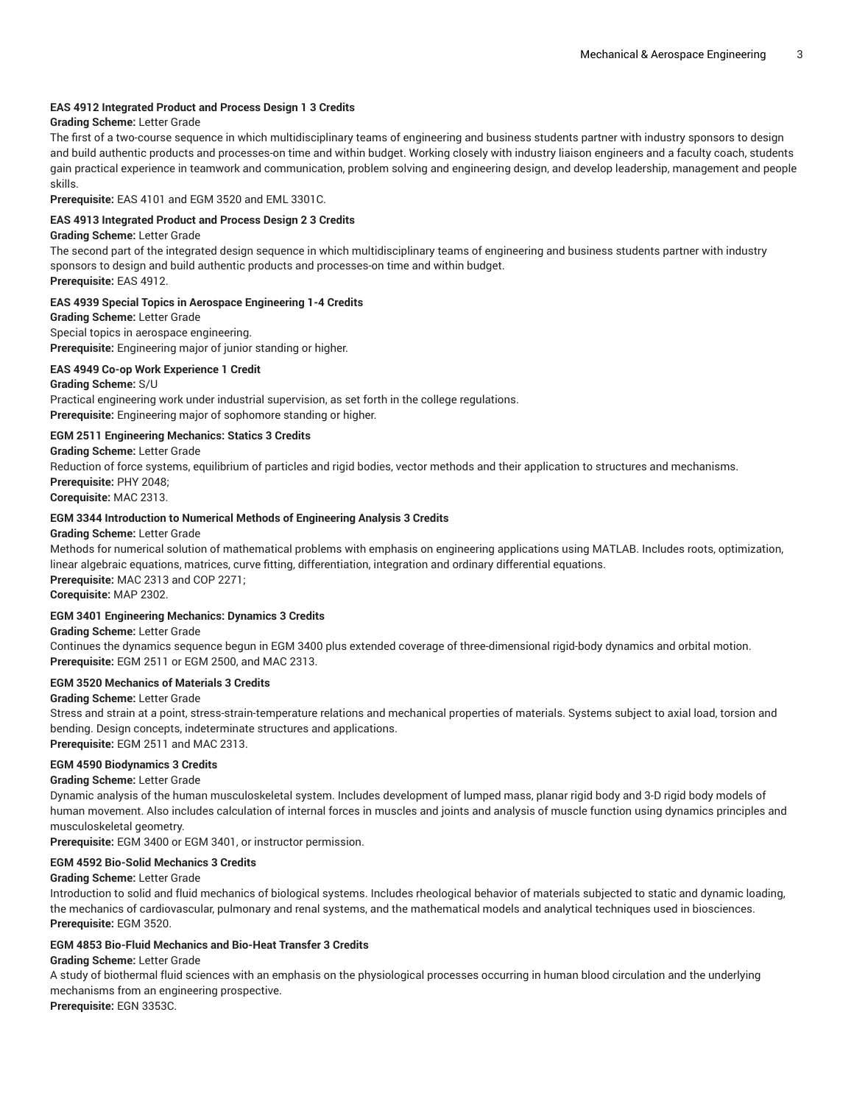#### **EAS 4912 Integrated Product and Process Design 1 3 Credits**

#### **Grading Scheme:** Letter Grade

The first of a two-course sequence in which multidisciplinary teams of engineering and business students partner with industry sponsors to design and build authentic products and processes-on time and within budget. Working closely with industry liaison engineers and a faculty coach, students gain practical experience in teamwork and communication, problem solving and engineering design, and develop leadership, management and people skills.

**Prerequisite:** EAS 4101 and EGM 3520 and EML 3301C.

#### **EAS 4913 Integrated Product and Process Design 2 3 Credits**

#### **Grading Scheme:** Letter Grade

The second part of the integrated design sequence in which multidisciplinary teams of engineering and business students partner with industry sponsors to design and build authentic products and processes-on time and within budget.

**Prerequisite:** EAS 4912.

#### **EAS 4939 Special Topics in Aerospace Engineering 1-4 Credits**

**Grading Scheme:** Letter Grade Special topics in aerospace engineering. **Prerequisite:** Engineering major of junior standing or higher.

#### **EAS 4949 Co-op Work Experience 1 Credit**

**Grading Scheme:** S/U Practical engineering work under industrial supervision, as set forth in the college regulations. **Prerequisite:** Engineering major of sophomore standing or higher.

#### **EGM 2511 Engineering Mechanics: Statics 3 Credits**

**Grading Scheme:** Letter Grade

Reduction of force systems, equilibrium of particles and rigid bodies, vector methods and their application to structures and mechanisms. **Prerequisite:** PHY 2048;

## **Corequisite:** MAC 2313.

#### **EGM 3344 Introduction to Numerical Methods of Engineering Analysis 3 Credits**

#### **Grading Scheme:** Letter Grade

Methods for numerical solution of mathematical problems with emphasis on engineering applications using MATLAB. Includes roots, optimization, linear algebraic equations, matrices, curve fitting, differentiation, integration and ordinary differential equations. **Prerequisite:** MAC 2313 and COP 2271; **Corequisite:** MAP 2302.

## **EGM 3401 Engineering Mechanics: Dynamics 3 Credits**

**Grading Scheme:** Letter Grade

Continues the dynamics sequence begun in EGM 3400 plus extended coverage of three-dimensional rigid-body dynamics and orbital motion. **Prerequisite:** EGM 2511 or EGM 2500, and MAC 2313.

## **EGM 3520 Mechanics of Materials 3 Credits**

#### **Grading Scheme:** Letter Grade

Stress and strain at a point, stress-strain-temperature relations and mechanical properties of materials. Systems subject to axial load, torsion and bending. Design concepts, indeterminate structures and applications.

**Prerequisite:** EGM 2511 and MAC 2313.

## **EGM 4590 Biodynamics 3 Credits**

## **Grading Scheme:** Letter Grade

Dynamic analysis of the human musculoskeletal system. Includes development of lumped mass, planar rigid body and 3-D rigid body models of human movement. Also includes calculation of internal forces in muscles and joints and analysis of muscle function using dynamics principles and musculoskeletal geometry.

**Prerequisite:** EGM 3400 or EGM 3401, or instructor permission.

#### **EGM 4592 Bio-Solid Mechanics 3 Credits**

#### **Grading Scheme:** Letter Grade

Introduction to solid and fluid mechanics of biological systems. Includes rheological behavior of materials subjected to static and dynamic loading, the mechanics of cardiovascular, pulmonary and renal systems, and the mathematical models and analytical techniques used in biosciences. **Prerequisite:** EGM 3520.

#### **EGM 4853 Bio-Fluid Mechanics and Bio-Heat Transfer 3 Credits**

## **Grading Scheme:** Letter Grade

A study of biothermal fluid sciences with an emphasis on the physiological processes occurring in human blood circulation and the underlying mechanisms from an engineering prospective. **Prerequisite:** EGN 3353C.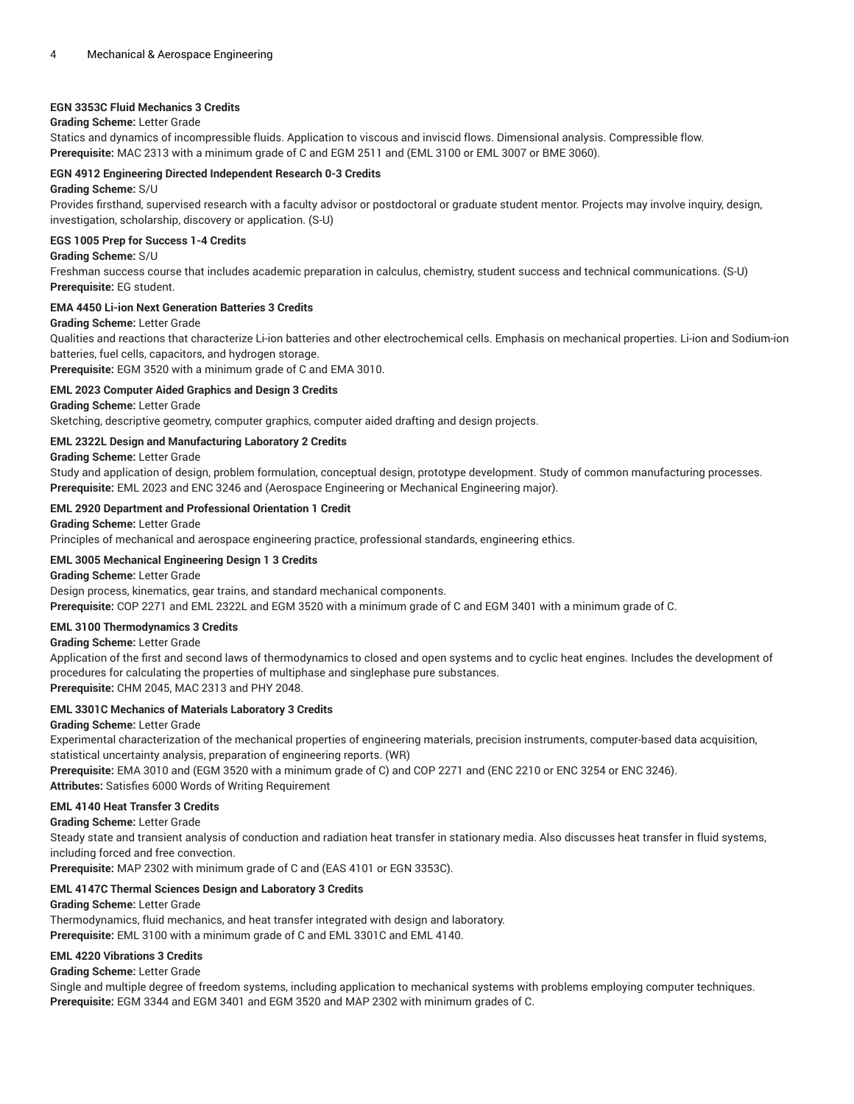## **EGN 3353C Fluid Mechanics 3 Credits**

## **Grading Scheme:** Letter Grade

Statics and dynamics of incompressible fluids. Application to viscous and inviscid flows. Dimensional analysis. Compressible flow. **Prerequisite:** MAC 2313 with a minimum grade of C and EGM 2511 and (EML 3100 or EML 3007 or BME 3060).

#### **EGN 4912 Engineering Directed Independent Research 0-3 Credits**

#### **Grading Scheme:** S/U

Provides firsthand, supervised research with a faculty advisor or postdoctoral or graduate student mentor. Projects may involve inquiry, design, investigation, scholarship, discovery or application. (S-U)

#### **EGS 1005 Prep for Success 1-4 Credits**

#### **Grading Scheme:** S/U

Freshman success course that includes academic preparation in calculus, chemistry, student success and technical communications. (S-U) **Prerequisite:** EG student.

## **EMA 4450 Li-ion Next Generation Batteries 3 Credits**

#### **Grading Scheme:** Letter Grade

Qualities and reactions that characterize Li-ion batteries and other electrochemical cells. Emphasis on mechanical properties. Li-ion and Sodium-ion batteries, fuel cells, capacitors, and hydrogen storage.

**Prerequisite:** EGM 3520 with a minimum grade of C and EMA 3010.

## **EML 2023 Computer Aided Graphics and Design 3 Credits**

**Grading Scheme:** Letter Grade

Sketching, descriptive geometry, computer graphics, computer aided drafting and design projects.

#### **EML 2322L Design and Manufacturing Laboratory 2 Credits**

#### **Grading Scheme:** Letter Grade

Study and application of design, problem formulation, conceptual design, prototype development. Study of common manufacturing processes. **Prerequisite:** EML 2023 and ENC 3246 and (Aerospace Engineering or Mechanical Engineering major).

## **EML 2920 Department and Professional Orientation 1 Credit**

#### **Grading Scheme:** Letter Grade

Principles of mechanical and aerospace engineering practice, professional standards, engineering ethics.

#### **EML 3005 Mechanical Engineering Design 1 3 Credits**

**Grading Scheme:** Letter Grade

Design process, kinematics, gear trains, and standard mechanical components.

**Prerequisite:** COP 2271 and EML 2322L and EGM 3520 with a minimum grade of C and EGM 3401 with a minimum grade of C.

#### **EML 3100 Thermodynamics 3 Credits**

#### **Grading Scheme:** Letter Grade

Application of the first and second laws of thermodynamics to closed and open systems and to cyclic heat engines. Includes the development of procedures for calculating the properties of multiphase and singlephase pure substances. **Prerequisite:** CHM 2045, MAC 2313 and PHY 2048.

#### **EML 3301C Mechanics of Materials Laboratory 3 Credits**

**Grading Scheme:** Letter Grade

Experimental characterization of the mechanical properties of engineering materials, precision instruments, computer-based data acquisition, statistical uncertainty analysis, preparation of engineering reports. (WR)

**Prerequisite:** EMA 3010 and (EGM 3520 with a minimum grade of C) and COP 2271 and (ENC 2210 or ENC 3254 or ENC 3246). **Attributes:** Satisfies 6000 Words of Writing Requirement

#### **EML 4140 Heat Transfer 3 Credits**

**Grading Scheme:** Letter Grade

Steady state and transient analysis of conduction and radiation heat transfer in stationary media. Also discusses heat transfer in fluid systems, including forced and free convection.

**Prerequisite:** MAP 2302 with minimum grade of C and (EAS 4101 or EGN 3353C).

#### **EML 4147C Thermal Sciences Design and Laboratory 3 Credits**

#### **Grading Scheme:** Letter Grade

Thermodynamics, fluid mechanics, and heat transfer integrated with design and laboratory. **Prerequisite:** EML 3100 with a minimum grade of C and EML 3301C and EML 4140.

#### **EML 4220 Vibrations 3 Credits**

#### **Grading Scheme:** Letter Grade

Single and multiple degree of freedom systems, including application to mechanical systems with problems employing computer techniques. **Prerequisite:** EGM 3344 and EGM 3401 and EGM 3520 and MAP 2302 with minimum grades of C.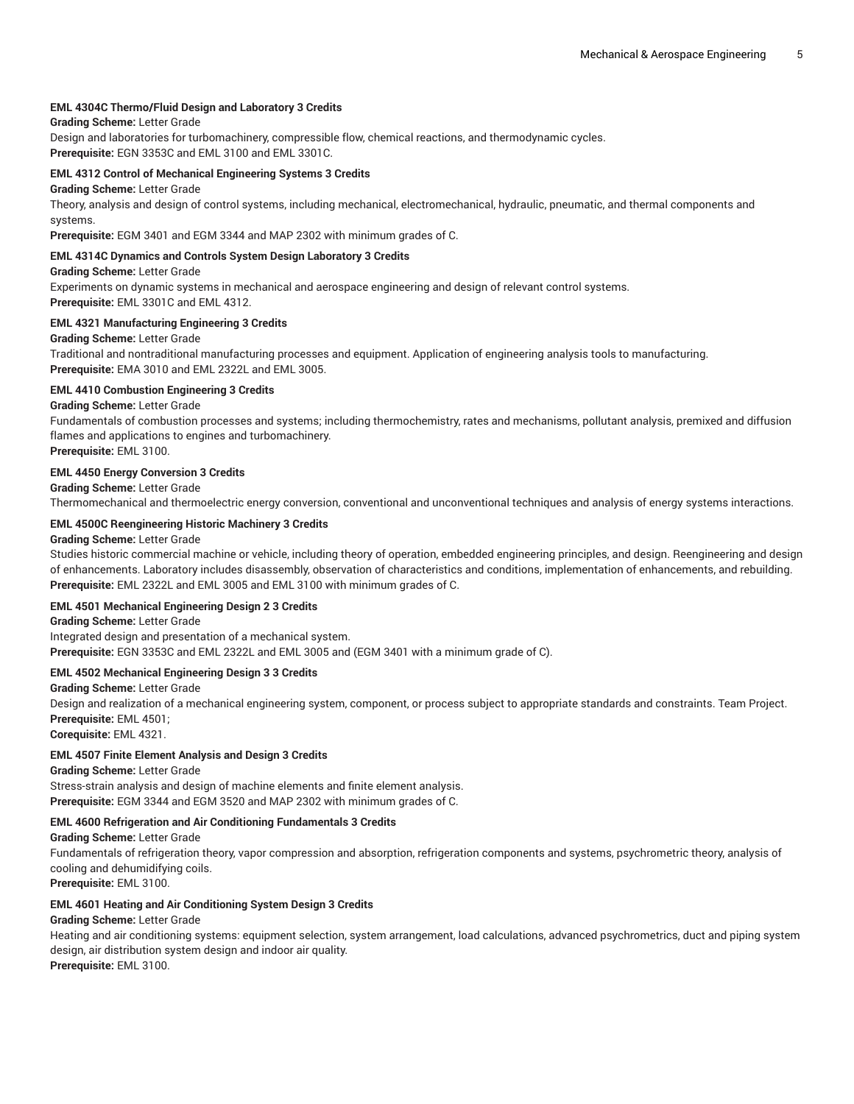#### **EML 4304C Thermo/Fluid Design and Laboratory 3 Credits**

## **Grading Scheme:** Letter Grade

Design and laboratories for turbomachinery, compressible flow, chemical reactions, and thermodynamic cycles. **Prerequisite:** EGN 3353C and EML 3100 and EML 3301C.

#### **EML 4312 Control of Mechanical Engineering Systems 3 Credits**

## **Grading Scheme:** Letter Grade

Theory, analysis and design of control systems, including mechanical, electromechanical, hydraulic, pneumatic, and thermal components and systems.

**Prerequisite:** EGM 3401 and EGM 3344 and MAP 2302 with minimum grades of C.

#### **EML 4314C Dynamics and Controls System Design Laboratory 3 Credits**

#### **Grading Scheme:** Letter Grade

Experiments on dynamic systems in mechanical and aerospace engineering and design of relevant control systems. **Prerequisite:** EML 3301C and EML 4312.

#### **EML 4321 Manufacturing Engineering 3 Credits**

#### **Grading Scheme:** Letter Grade

Traditional and nontraditional manufacturing processes and equipment. Application of engineering analysis tools to manufacturing. **Prerequisite:** EMA 3010 and EML 2322L and EML 3005.

#### **EML 4410 Combustion Engineering 3 Credits**

#### **Grading Scheme:** Letter Grade

Fundamentals of combustion processes and systems; including thermochemistry, rates and mechanisms, pollutant analysis, premixed and diffusion flames and applications to engines and turbomachinery.

**Prerequisite:** EML 3100.

#### **EML 4450 Energy Conversion 3 Credits**

**Grading Scheme:** Letter Grade

Thermomechanical and thermoelectric energy conversion, conventional and unconventional techniques and analysis of energy systems interactions.

#### **EML 4500C Reengineering Historic Machinery 3 Credits**

#### **Grading Scheme:** Letter Grade

Studies historic commercial machine or vehicle, including theory of operation, embedded engineering principles, and design. Reengineering and design of enhancements. Laboratory includes disassembly, observation of characteristics and conditions, implementation of enhancements, and rebuilding. **Prerequisite:** EML 2322L and EML 3005 and EML 3100 with minimum grades of C.

#### **EML 4501 Mechanical Engineering Design 2 3 Credits**

#### **Grading Scheme:** Letter Grade

Integrated design and presentation of a mechanical system. **Prerequisite:** EGN 3353C and EML 2322L and EML 3005 and (EGM 3401 with a minimum grade of C).

## **EML 4502 Mechanical Engineering Design 3 3 Credits**

**Grading Scheme:** Letter Grade

Design and realization of a mechanical engineering system, component, or process subject to appropriate standards and constraints. Team Project. **Prerequisite:** EML 4501;

**Corequisite:** EML 4321.

#### **EML 4507 Finite Element Analysis and Design 3 Credits**

**Grading Scheme:** Letter Grade

Stress-strain analysis and design of machine elements and finite element analysis. **Prerequisite:** EGM 3344 and EGM 3520 and MAP 2302 with minimum grades of C.

#### **EML 4600 Refrigeration and Air Conditioning Fundamentals 3 Credits**

**Grading Scheme:** Letter Grade

Fundamentals of refrigeration theory, vapor compression and absorption, refrigeration components and systems, psychrometric theory, analysis of cooling and dehumidifying coils.

**Prerequisite:** EML 3100.

#### **EML 4601 Heating and Air Conditioning System Design 3 Credits**

#### **Grading Scheme:** Letter Grade

Heating and air conditioning systems: equipment selection, system arrangement, load calculations, advanced psychrometrics, duct and piping system design, air distribution system design and indoor air quality. **Prerequisite:** EML 3100.